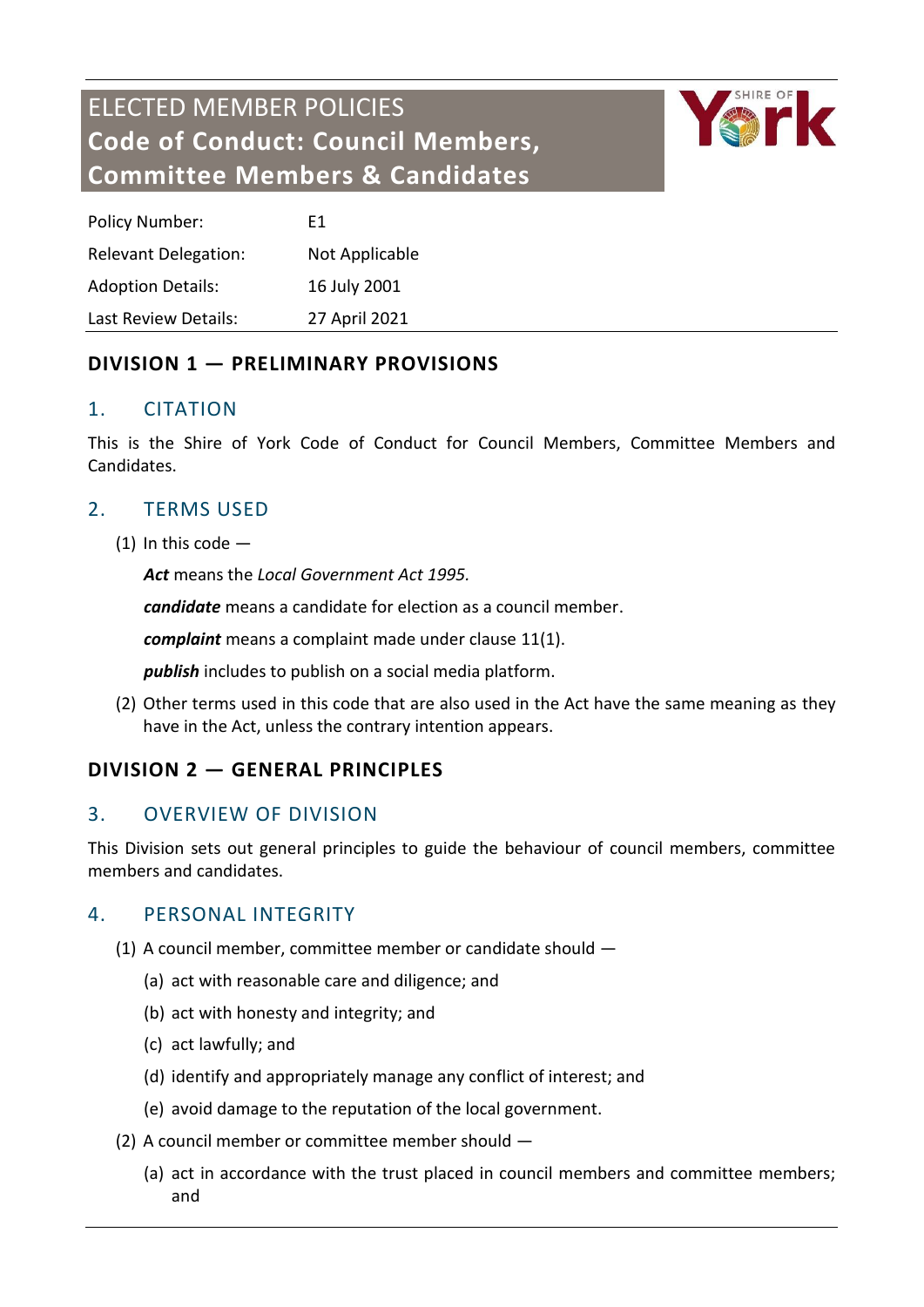# ELECTED MEMBER POLICIES **Code of Conduct: Council Members, Committee Members & Candidates**



| <b>Policy Number:</b>       | F1             |
|-----------------------------|----------------|
| <b>Relevant Delegation:</b> | Not Applicable |
| <b>Adoption Details:</b>    | 16 July 2001   |
| Last Review Details:        | 27 April 2021  |

## **DIVISION 1 — PRELIMINARY PROVISIONS**

## 1. CITATION

This is the Shire of York Code of Conduct for Council Members, Committee Members and Candidates.

# 2. TERMS USED

(1) In this code  $-$ 

*Act* means the *Local Government Act 1995.*

*candidate* means a candidate for election as a council member.

*complaint* means a complaint made under clause 11(1).

*publish* includes to publish on a social media platform.

(2) Other terms used in this code that are also used in the Act have the same meaning as they have in the Act, unless the contrary intention appears.

# **DIVISION 2 — GENERAL PRINCIPLES**

#### 3. OVERVIEW OF DIVISION

This Division sets out general principles to guide the behaviour of council members, committee members and candidates.

#### 4. PERSONAL INTEGRITY

- (1) A council member, committee member or candidate should
	- (a) act with reasonable care and diligence; and
	- (b) act with honesty and integrity; and
	- (c) act lawfully; and
	- (d) identify and appropriately manage any conflict of interest; and
	- (e) avoid damage to the reputation of the local government.
- (2) A council member or committee member should
	- (a) act in accordance with the trust placed in council members and committee members; and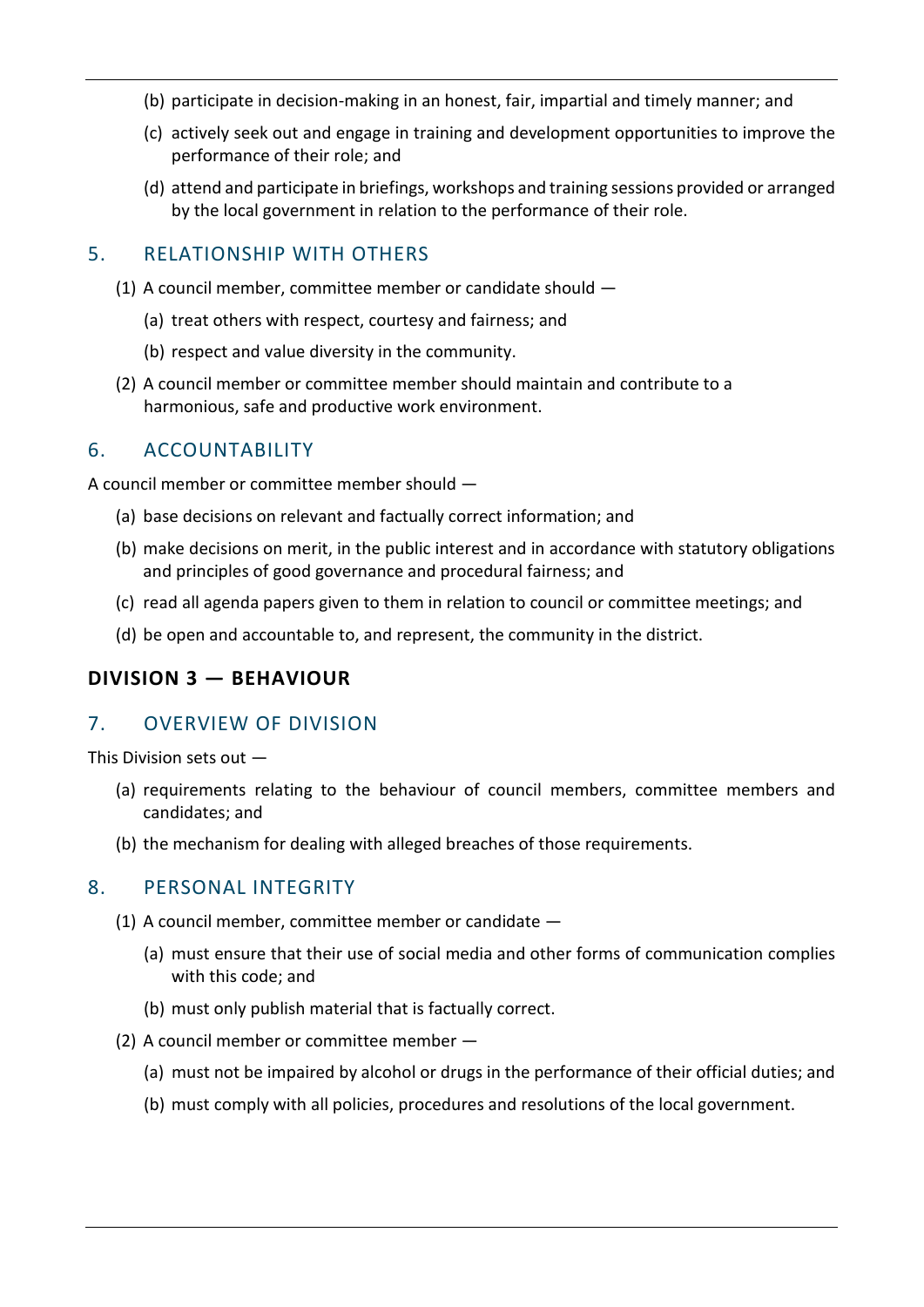- (b) participate in decision-making in an honest, fair, impartial and timely manner; and
- (c) actively seek out and engage in training and development opportunities to improve the performance of their role; and
- (d) attend and participate in briefings, workshops and training sessions provided or arranged by the local government in relation to the performance of their role.

#### 5. RELATIONSHIP WITH OTHERS

- (1) A council member, committee member or candidate should
	- (a) treat others with respect, courtesy and fairness; and
	- (b) respect and value diversity in the community.
- (2) A council member or committee member should maintain and contribute to a harmonious, safe and productive work environment.

## 6. ACCOUNTABILITY

A council member or committee member should —

- (a) base decisions on relevant and factually correct information; and
- (b) make decisions on merit, in the public interest and in accordance with statutory obligations and principles of good governance and procedural fairness; and
- (c) read all agenda papers given to them in relation to council or committee meetings; and
- (d) be open and accountable to, and represent, the community in the district.

# **DIVISION 3 — BEHAVIOUR**

#### 7. OVERVIEW OF DIVISION

This Division sets out —

- (a) requirements relating to the behaviour of council members, committee members and candidates; and
- (b) the mechanism for dealing with alleged breaches of those requirements.

#### 8. PERSONAL INTEGRITY

- (1) A council member, committee member or candidate
	- (a) must ensure that their use of social media and other forms of communication complies with this code; and
	- (b) must only publish material that is factually correct.
- (2) A council member or committee member
	- (a) must not be impaired by alcohol or drugs in the performance of their official duties; and
	- (b) must comply with all policies, procedures and resolutions of the local government.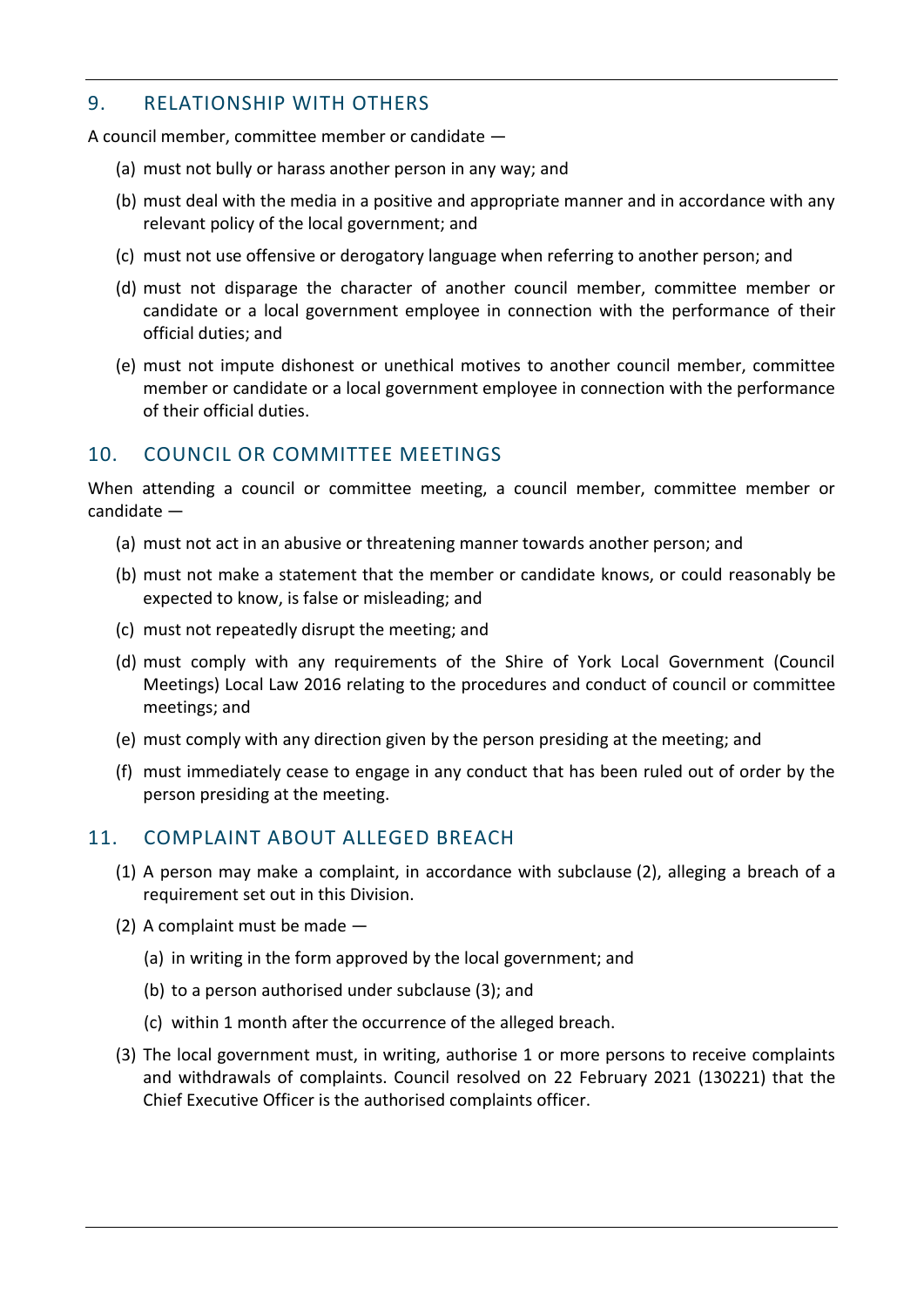#### 9. RELATIONSHIP WITH OTHERS

A council member, committee member or candidate —

- (a) must not bully or harass another person in any way; and
- (b) must deal with the media in a positive and appropriate manner and in accordance with any relevant policy of the local government; and
- (c) must not use offensive or derogatory language when referring to another person; and
- (d) must not disparage the character of another council member, committee member or candidate or a local government employee in connection with the performance of their official duties; and
- (e) must not impute dishonest or unethical motives to another council member, committee member or candidate or a local government employee in connection with the performance of their official duties.

# 10. COUNCIL OR COMMITTEE MEETINGS

When attending a council or committee meeting, a council member, committee member or candidate —

- (a) must not act in an abusive or threatening manner towards another person; and
- (b) must not make a statement that the member or candidate knows, or could reasonably be expected to know, is false or misleading; and
- (c) must not repeatedly disrupt the meeting; and
- (d) must comply with any requirements of the Shire of York Local Government (Council Meetings) Local Law 2016 relating to the procedures and conduct of council or committee meetings; and
- (e) must comply with any direction given by the person presiding at the meeting; and
- (f) must immediately cease to engage in any conduct that has been ruled out of order by the person presiding at the meeting.

# 11. COMPLAINT ABOUT ALLEGED BREACH

- (1) A person may make a complaint, in accordance with subclause (2), alleging a breach of a requirement set out in this Division.
- (2) A complaint must be made
	- (a) in writing in the form approved by the local government; and
	- (b) to a person authorised under subclause (3); and
	- (c) within 1 month after the occurrence of the alleged breach.
- (3) The local government must, in writing, authorise 1 or more persons to receive complaints and withdrawals of complaints. Council resolved on 22 February 2021 (130221) that the Chief Executive Officer is the authorised complaints officer.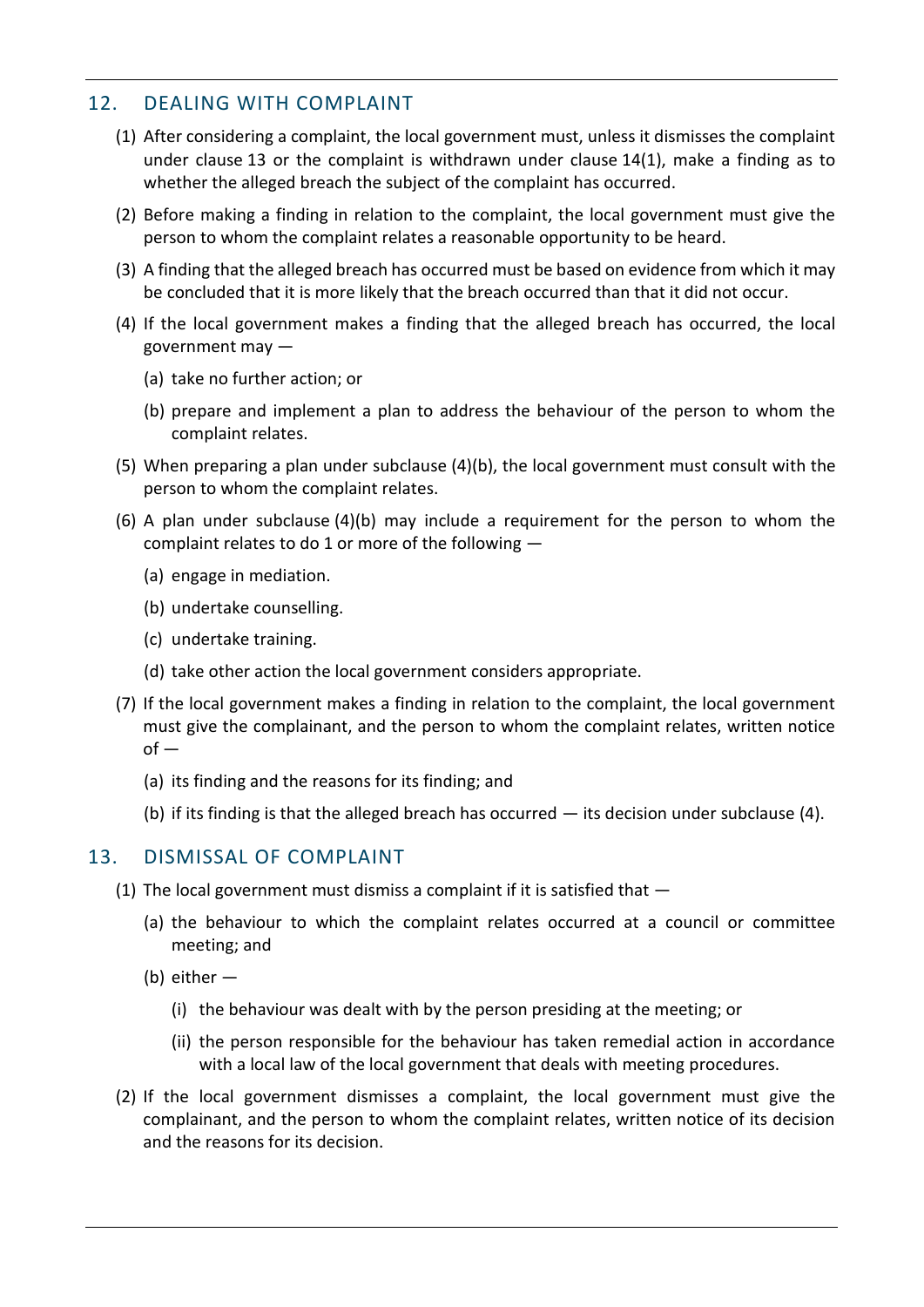## 12. DEALING WITH COMPLAINT

- (1) After considering a complaint, the local government must, unless it dismisses the complaint under clause 13 or the complaint is withdrawn under clause 14(1), make a finding as to whether the alleged breach the subject of the complaint has occurred.
- (2) Before making a finding in relation to the complaint, the local government must give the person to whom the complaint relates a reasonable opportunity to be heard.
- (3) A finding that the alleged breach has occurred must be based on evidence from which it may be concluded that it is more likely that the breach occurred than that it did not occur.
- (4) If the local government makes a finding that the alleged breach has occurred, the local government may —
	- (a) take no further action; or
	- (b) prepare and implement a plan to address the behaviour of the person to whom the complaint relates.
- (5) When preparing a plan under subclause (4)(b), the local government must consult with the person to whom the complaint relates.
- (6) A plan under subclause (4)(b) may include a requirement for the person to whom the complaint relates to do 1 or more of the following —
	- (a) engage in mediation.
	- (b) undertake counselling.
	- (c) undertake training.
	- (d) take other action the local government considers appropriate.
- (7) If the local government makes a finding in relation to the complaint, the local government must give the complainant, and the person to whom the complaint relates, written notice  $of -$ 
	- (a) its finding and the reasons for its finding; and
	- (b) if its finding is that the alleged breach has occurred its decision under subclause (4).

#### 13. DISMISSAL OF COMPLAINT

- (1) The local government must dismiss a complaint if it is satisfied that  $-$ 
	- (a) the behaviour to which the complaint relates occurred at a council or committee meeting; and
	- (b) either
		- (i) the behaviour was dealt with by the person presiding at the meeting; or
		- (ii) the person responsible for the behaviour has taken remedial action in accordance with a local law of the local government that deals with meeting procedures.
- (2) If the local government dismisses a complaint, the local government must give the complainant, and the person to whom the complaint relates, written notice of its decision and the reasons for its decision.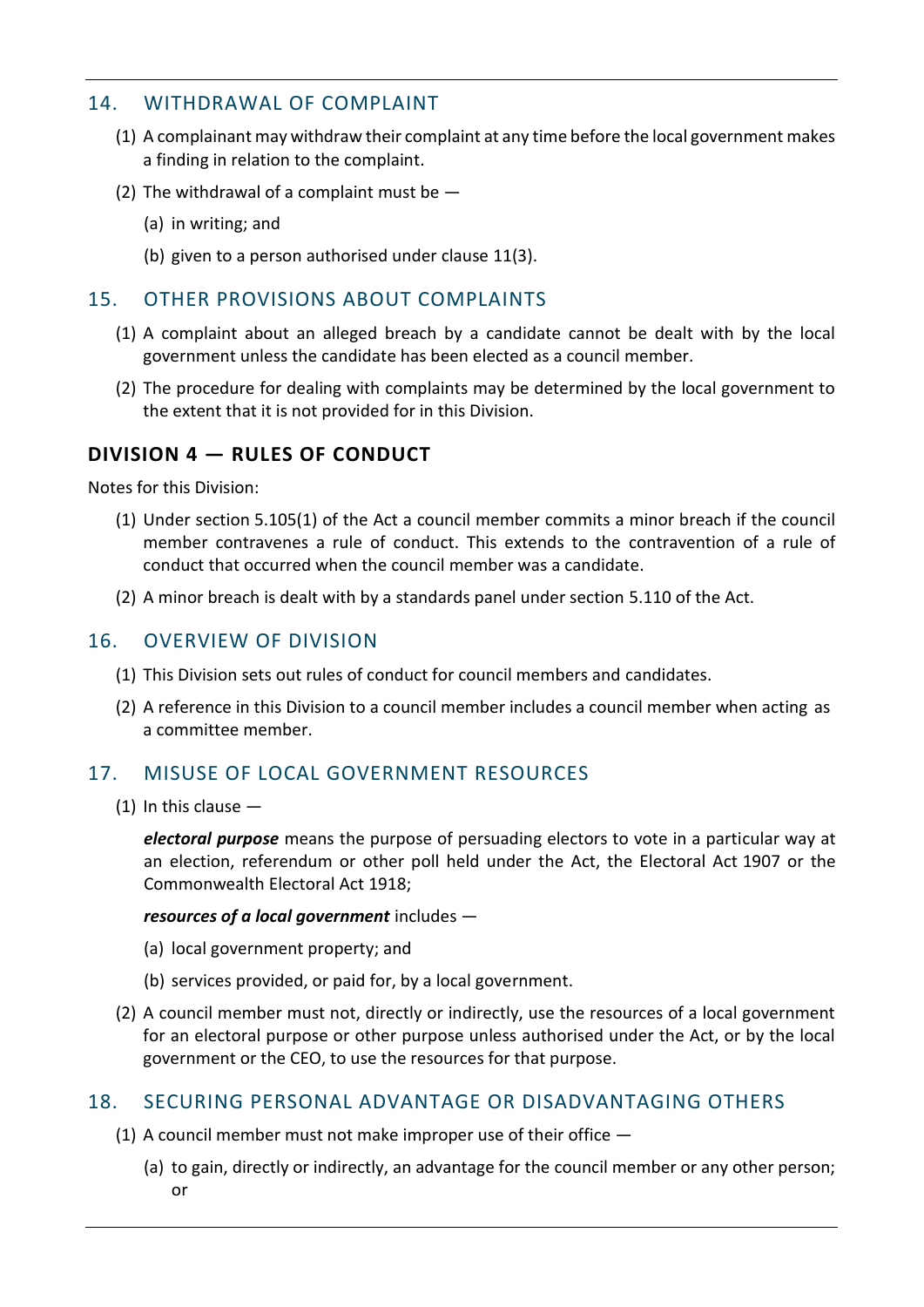#### 14. WITHDRAWAL OF COMPLAINT

- (1) A complainant may withdraw their complaint at any time before the local government makes a finding in relation to the complaint.
- (2) The withdrawal of a complaint must be  $-$ 
	- (a) in writing; and
	- (b) given to a person authorised under clause 11(3).

#### 15. OTHER PROVISIONS ABOUT COMPLAINTS

- (1) A complaint about an alleged breach by a candidate cannot be dealt with by the local government unless the candidate has been elected as a council member.
- (2) The procedure for dealing with complaints may be determined by the local government to the extent that it is not provided for in this Division.

## **DIVISION 4 — RULES OF CONDUCT**

Notes for this Division:

- (1) Under section 5.105(1) of the Act a council member commits a minor breach if the council member contravenes a rule of conduct. This extends to the contravention of a rule of conduct that occurred when the council member was a candidate.
- (2) A minor breach is dealt with by a standards panel under section 5.110 of the Act.

#### 16. OVERVIEW OF DIVISION

- (1) This Division sets out rules of conduct for council members and candidates.
- (2) A reference in this Division to a council member includes a council member when acting as a committee member.

# 17. MISUSE OF LOCAL GOVERNMENT RESOURCES

(1) In this clause —

*electoral purpose* means the purpose of persuading electors to vote in a particular way at an election, referendum or other poll held under the Act, the Electoral Act 1907 or the Commonwealth Electoral Act 1918;

#### *resources of a local government* includes —

- (a) local government property; and
- (b) services provided, or paid for, by a local government.
- (2) A council member must not, directly or indirectly, use the resources of a local government for an electoral purpose or other purpose unless authorised under the Act, or by the local government or the CEO, to use the resources for that purpose.

#### 18. SECURING PERSONAL ADVANTAGE OR DISADVANTAGING OTHERS

- (1) A council member must not make improper use of their office
	- (a) to gain, directly or indirectly, an advantage for the council member or any other person; or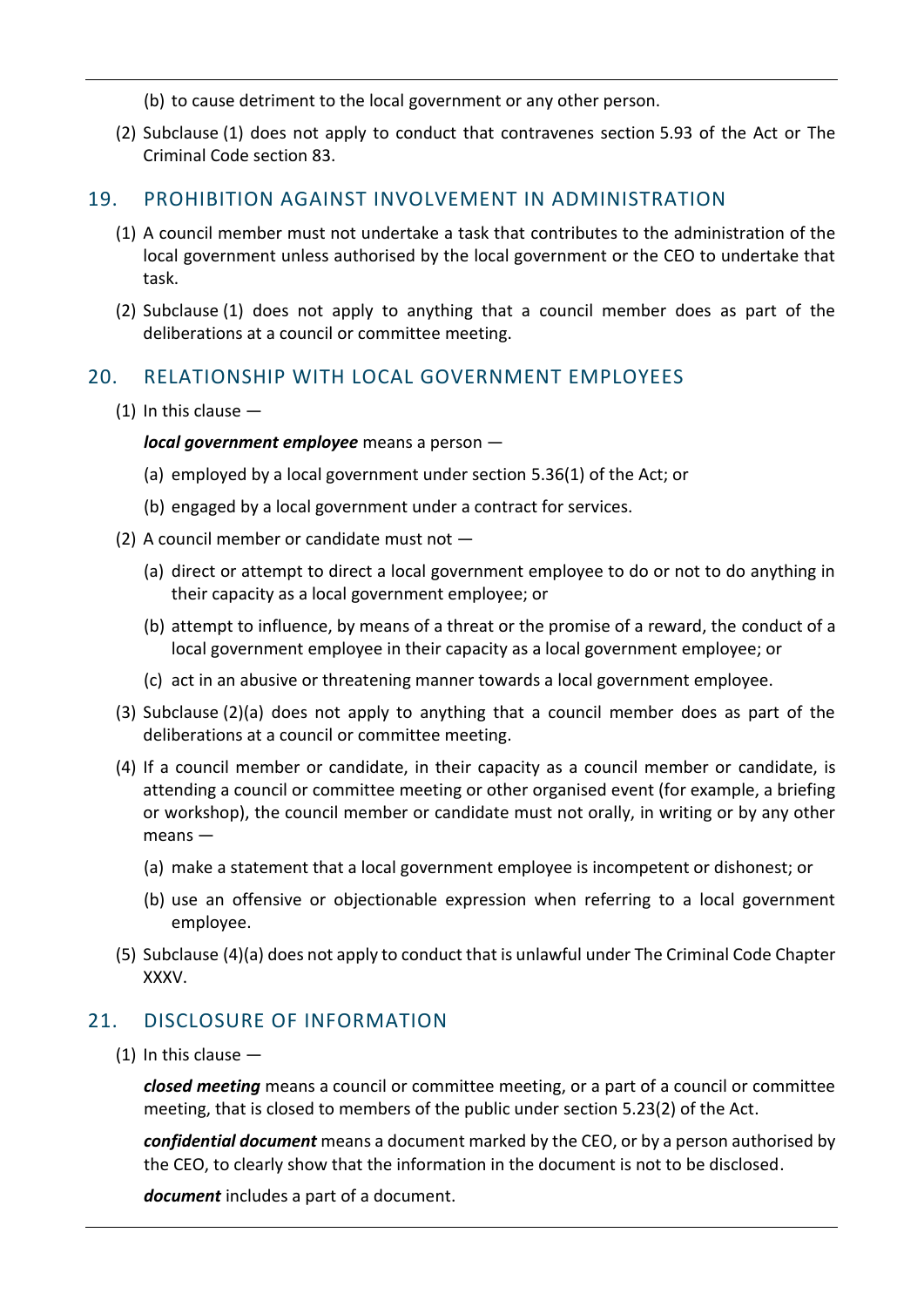(b) to cause detriment to the local government or any other person.

(2) Subclause (1) does not apply to conduct that contravenes section 5.93 of the Act or The Criminal Code section 83.

#### 19. PROHIBITION AGAINST INVOLVEMENT IN ADMINISTRATION

- (1) A council member must not undertake a task that contributes to the administration of the local government unless authorised by the local government or the CEO to undertake that task.
- (2) Subclause (1) does not apply to anything that a council member does as part of the deliberations at a council or committee meeting.

#### 20. RELATIONSHIP WITH LOCAL GOVERNMENT EMPLOYEES

 $(1)$  In this clause  $-$ 

*local government employee* means a person —

- (a) employed by a local government under section 5.36(1) of the Act; or
- (b) engaged by a local government under a contract for services.
- (2) A council member or candidate must not
	- (a) direct or attempt to direct a local government employee to do or not to do anything in their capacity as a local government employee; or
	- (b) attempt to influence, by means of a threat or the promise of a reward, the conduct of a local government employee in their capacity as a local government employee; or
	- (c) act in an abusive or threatening manner towards a local government employee.
- (3) Subclause (2)(a) does not apply to anything that a council member does as part of the deliberations at a council or committee meeting.
- (4) If a council member or candidate, in their capacity as a council member or candidate, is attending a council or committee meeting or other organised event (for example, a briefing or workshop), the council member or candidate must not orally, in writing or by any other means —
	- (a) make a statement that a local government employee is incompetent or dishonest; or
	- (b) use an offensive or objectionable expression when referring to a local government employee.
- (5) Subclause (4)(a) does not apply to conduct that is unlawful under The Criminal Code Chapter XXXV.

#### 21. DISCLOSURE OF INFORMATION

(1) In this clause —

*closed meeting* means a council or committee meeting, or a part of a council or committee meeting, that is closed to members of the public under section 5.23(2) of the Act.

*confidential document* means a document marked by the CEO, or by a person authorised by the CEO, to clearly show that the information in the document is not to be disclosed.

*document* includes a part of a document.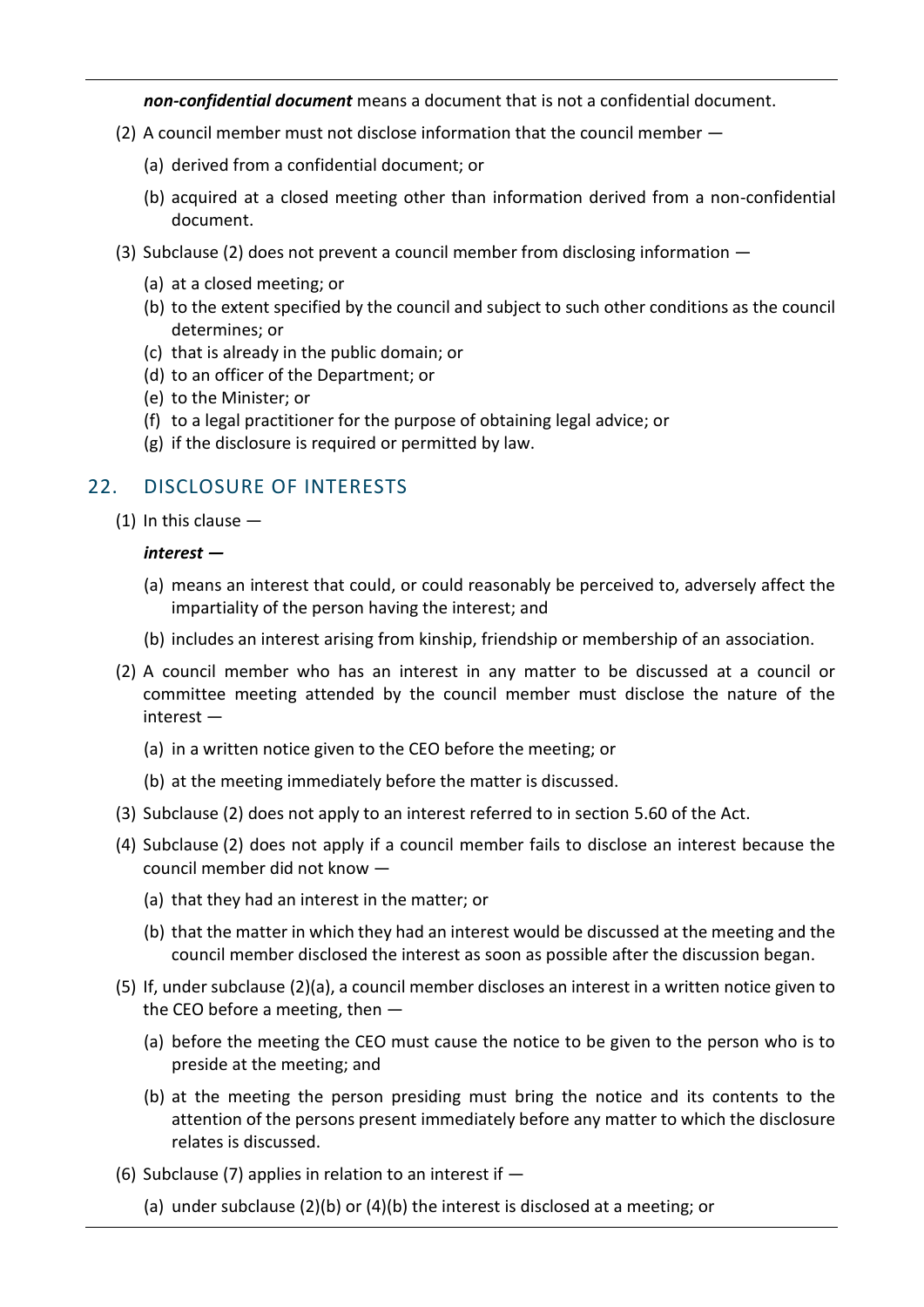*non-confidential document* means a document that is not a confidential document.

- (2) A council member must not disclose information that the council member
	- (a) derived from a confidential document; or
	- (b) acquired at a closed meeting other than information derived from a non-confidential document.
- (3) Subclause (2) does not prevent a council member from disclosing information
	- (a) at a closed meeting; or
	- (b) to the extent specified by the council and subject to such other conditions as the council determines; or
	- (c) that is already in the public domain; or
	- (d) to an officer of the Department; or
	- (e) to the Minister; or
	- (f) to a legal practitioner for the purpose of obtaining legal advice; or
	- (g) if the disclosure is required or permitted by law.

## 22. DISCLOSURE OF INTERESTS

(1) In this clause —

#### *interest —*

- (a) means an interest that could, or could reasonably be perceived to, adversely affect the impartiality of the person having the interest; and
- (b) includes an interest arising from kinship, friendship or membership of an association.
- (2) A council member who has an interest in any matter to be discussed at a council or committee meeting attended by the council member must disclose the nature of the interest —
	- (a) in a written notice given to the CEO before the meeting; or
	- (b) at the meeting immediately before the matter is discussed.
- (3) Subclause (2) does not apply to an interest referred to in section 5.60 of the Act.
- (4) Subclause (2) does not apply if a council member fails to disclose an interest because the council member did not know —
	- (a) that they had an interest in the matter; or
	- (b) that the matter in which they had an interest would be discussed at the meeting and the council member disclosed the interest as soon as possible after the discussion began.
- (5) If, under subclause (2)(a), a council member discloses an interest in a written notice given to the CEO before a meeting, then —
	- (a) before the meeting the CEO must cause the notice to be given to the person who is to preside at the meeting; and
	- (b) at the meeting the person presiding must bring the notice and its contents to the attention of the persons present immediately before any matter to which the disclosure relates is discussed.
- (6) Subclause (7) applies in relation to an interest if  $-$ 
	- (a) under subclause (2)(b) or (4)(b) the interest is disclosed at a meeting; or